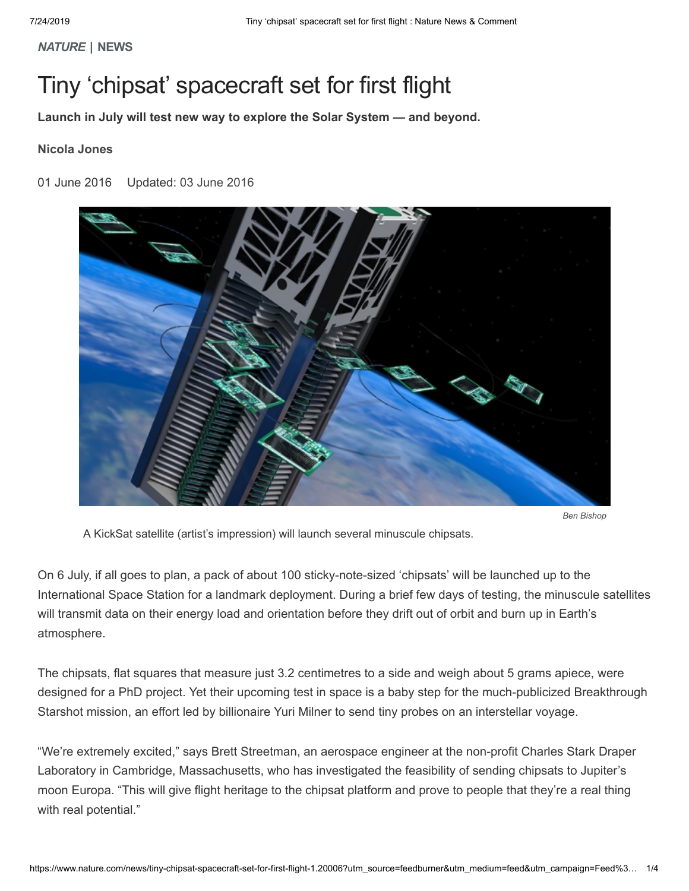*NATURE* **| NEWS**

# Tiny 'chipsat' spacecraft set for first flight

**Launch in July will test new way to explore the Solar System — and beyond.**

# **Nicola Jones**

# 01 June 2016 Updated: 03 [June](#page-2-0) 2016



*Ben Bishop*

A KickSat satellite (artist's impression) will launch several minuscule chipsats.

On 6 July, if all goes to plan, a pack of about 100 sticky-note-sized 'chipsats' will be launched up to the International Space Station for a landmark deployment. During a brief few days of testing, the minuscule satellites will transmit data on their energy load and orientation before they drift out of orbit and burn up in Earth's atmosphere.

The chipsats, flat squares that measure just 3.2 centimetres to a side and weigh about 5 grams apiece, were designed for a PhD project. Yet their upcoming test in space is a baby step for the much-publicized Breakthrough Starshot mission, an effort led by billionaire Yuri Milner to send tiny probes on an interstellar voyage.

"We're extremely excited," says Brett Streetman, an aerospace engineer at the non-profit Charles Stark Draper Laboratory in Cambridge, Massachusetts, who has investigated the feasibility of sending chipsats to Jupiter's moon Europa. "This will give flight heritage to the chipsat platform and prove to people that they're a real thing with real potential."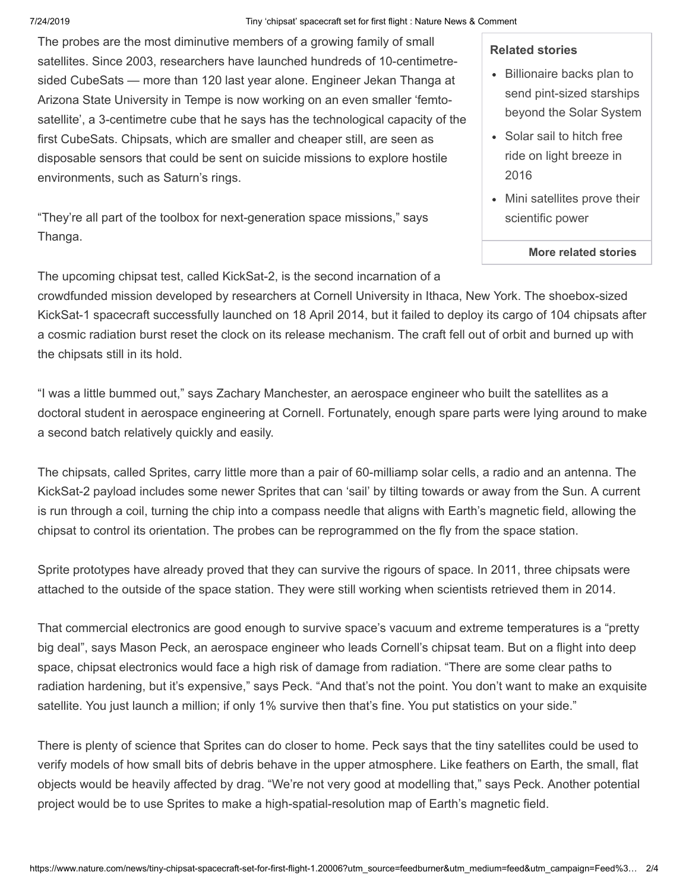#### 7/24/2019 Tiny 'chipsat' spacecraft set for first flight : Nature News & Comment

The probes are the most diminutive members of a growing family of small satellites. Since 2003, researchers have launched hundreds of 10-centimetresided CubeSats — more than 120 last year alone. Engineer Jekan Thanga at Arizona State University in Tempe is now working on an even smaller 'femtosatellite', a 3-centimetre cube that he says has the technological capacity of the first CubeSats. Chipsats, which are smaller and cheaper still, are seen as disposable sensors that could be sent on suicide missions to explore hostile environments, such as Saturn's rings.

"They're all part of the toolbox for next-generation space missions," says Thanga.

## **Related stories**

- [Billionaire](https://www.nature.com/doifinder/10.1038/nature.2016.19750) backs plan to send pint-sized starships beyond the Solar System
- Solar sail to hitch free ride on light [breeze](https://www.nature.com/doifinder/10.1038/nature.2014.15580) in 2016
- Mini [satellites](https://www.nature.com/doifinder/10.1038/508300a) prove their scientific power

### **More related [stories](#page-2-1)**

The upcoming chipsat test, called KickSat-2, is the second incarnation of a

crowdfunded mission developed by researchers at Cornell University in Ithaca, New York. The shoebox-sized KickSat-1 spacecraft successfully launched on 18 April 2014, but it failed to deploy its cargo of 104 chipsats after a cosmic radiation burst reset the clock on its release mechanism. The craft fell out of orbit and burned up with the chipsats still in its hold.

"I was a little bummed out," says Zachary Manchester, an aerospace engineer who built the satellites as a doctoral student in aerospace engineering at Cornell. Fortunately, enough spare parts were lying around to make a second batch relatively quickly and easily.

The chipsats, called Sprites, carry little more than a pair of 60-milliamp solar cells, a radio and an antenna. The KickSat-2 payload includes some newer Sprites that can 'sail' by tilting towards or away from the Sun. A current is run through a coil, turning the chip into a compass needle that aligns with Earth's magnetic field, allowing the chipsat to control its orientation. The probes can be reprogrammed on the fly from the space station.

Sprite prototypes have already proved that they can survive the rigours of space. In 2011, three chipsats were attached to the outside of the space station. They were still working when scientists retrieved them in 2014.

That commercial electronics are good enough to survive space's vacuum and extreme temperatures is a "pretty big deal", says Mason Peck, an aerospace engineer who leads Cornell's chipsat team. But on a flight into deep space, chipsat electronics would face a high risk of damage from radiation. "There are some clear paths to radiation hardening, but it's expensive," says Peck. "And that's not the point. You don't want to make an exquisite satellite. You just launch a million; if only 1% survive then that's fine. You put statistics on your side."

There is plenty of science that Sprites can do closer to home. Peck says that the tiny satellites could be used to verify models of how small bits of debris behave in the upper atmosphere. Like feathers on Earth, the small, flat objects would be heavily affected by drag. "We're not very good at modelling that," says Peck. Another potential project would be to use Sprites to make a high-spatial-resolution map of Earth's magnetic field.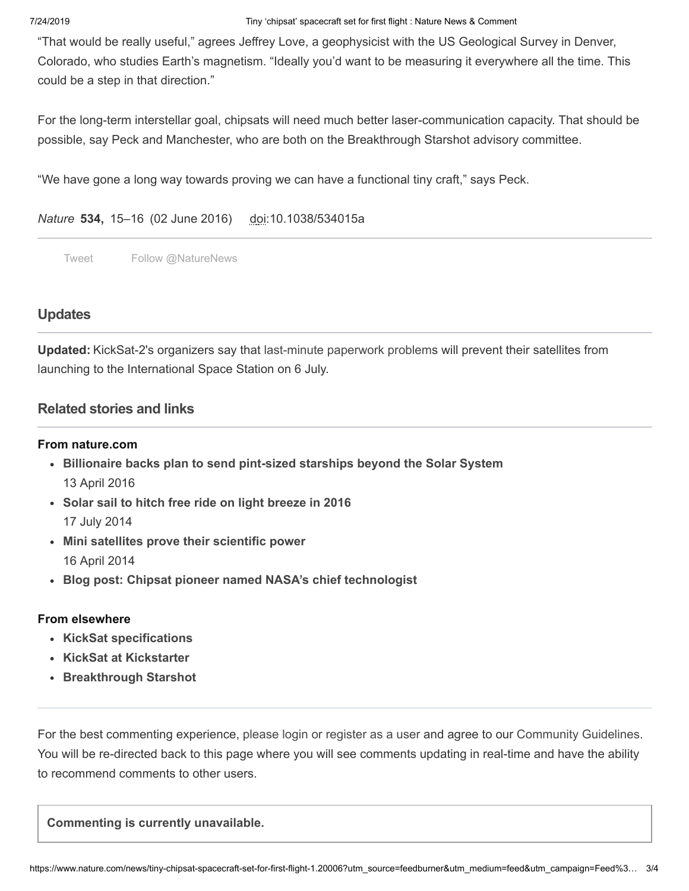### 7/24/2019 Tiny 'chipsat' spacecraft set for first flight : Nature News & Comment

"That would be really useful," agrees Jeffrey Love, a geophysicist with the US Geological Survey in Denver, Colorado, who studies Earth's magnetism. "Ideally you'd want to be measuring it everywhere all the time. This could be a step in that direction."

For the long-term interstellar goal, chipsats will need much better laser-communication capacity. That should be possible, say Peck and Manchester, who are both on the Breakthrough Starshot advisory committee.

"We have gone a long way towards proving we can have a functional tiny craft," says Peck.

# *Nature* **534,** 15–16 (02 June 2016) doi:10.1038/534015a

[Tweet](https://twitter.com/intent/tweet?original_referer=https%3A%2F%2Fwww.nature.com%2Fnews%2Ftiny-chipsat-spacecraft-set-for-first-flight-1.20006%3Futm_source%3Dfeedburner%26utm_medium%3Dfeed%26utm_campaign%3DFeed%253A%2Bnews%252Frss%252Fnews%2B%2528Nature%2B-%2BLatest%2BFree%2BContent%2529%26utm_content%3DGoogle%2BFeedfetcher&ref_src=twsrc%5Etfw&text=Tiny%20%E2%80%98chipsat%E2%80%99%20spacecraft%20set%20for%20first%20flight%20%3A%20Nature%20News%20%26%20Comment&tw_p=tweetbutton&url=https%3A%2F%2Fwww.nature.com%2Fnews%2Ftiny-chipsat-spacecraft-set-for-first-flight-1.20006%3Futm_source%3Dfeedburner%26utm_medium%3Dfeed%26utm_campaign%3DFeed%253A%2Bnews%252Frss%252Fnews%2B%2528Nature%2B-%2BLatest%2BFree%2BContent%2529%26utm_content%3DGoogle%2BFeedfetcher&via=NatureNews) [Follow @NatureNews](https://twitter.com/intent/follow?original_referer=https%3A%2F%2Fwww.nature.com%2Fnews%2Ftiny-chipsat-spacecraft-set-for-first-flight-1.20006%3Futm_source%3Dfeedburner%26utm_medium%3Dfeed%26utm_campaign%3DFeed%253A%2Bnews%252Frss%252Fnews%2B%2528Nature%2B-%2BLatest%2BFree%2BContent%2529%26utm_content%3DGoogle%2BFeedfetcher&ref_src=twsrc%5Etfw®ion=follow_link&screen_name=NatureNews&tw_p=followbutton)

# **[Updates](javascript:;)**

<span id="page-2-0"></span>**Updated:** KickSat-2's organizers say that [last-minute](https://www.kickstarter.com/projects/zacinaction/kicksat-your-personal-spacecraft-in-space/posts/1591078) paperwork problems will prevent their satellites from launching to the International Space Station on 6 July.

# <span id="page-2-1"></span>**[Related](javascript:;) stories and links**

# **From nature.com**

- **[Billionaire](https://www.nature.com/doifinder/10.1038/nature.2016.19750) backs plan to send pint-sized starships beyond the Solar System** 13 April 2016
- **Solar sail to hitch free ride on light [breeze](https://www.nature.com/doifinder/10.1038/nature.2014.15580) in 2016** 17 July 2014
- **Mini satellites prove their [scientific](https://www.nature.com/doifinder/10.1038/508300a) power** 16 April 2014
- **Blog post: Chipsat pioneer named NASA's chief [technologist](http://blogs.nature.com/news/2011/11/chipsat_pioneer_named_nasas_ch.html)**

# **From elsewhere**

- **KickSat [specifications](https://directory.eoportal.org/web/eoportal/satellite-missions/k/kicksat)**
- **KickSat at [Kickstarter](https://www.kickstarter.com/projects/zacinaction/kicksat-your-personal-spacecraft-in-space)**
- **[Breakthrough](http://breakthroughinitiatives.org/Initiative/3) Starshot**

For the best commenting experience, please login or [register](https://www.nature.com/foxtrot/svc/login?type=commenting) as a user and agree to our [Community](https://www.nature.com/info/community-guidelines.html) Guidelines. You will be re-directed back to this page where you will see comments updating in real-time and have the ability to recommend comments to other users.

**Commenting is currently unavailable.**